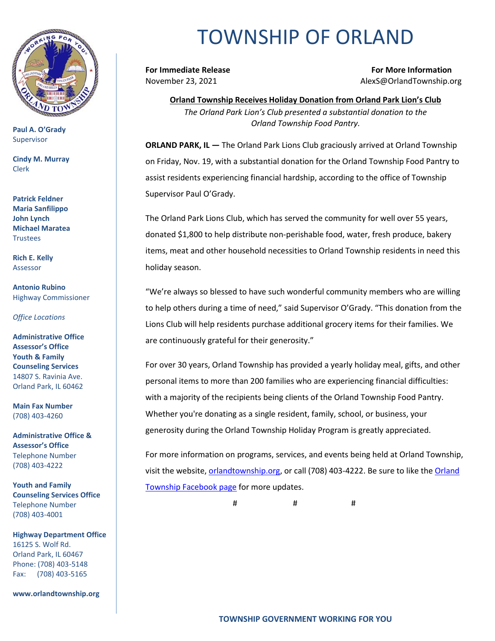

**Paul A. O'Grady** Supervisor

**Cindy M. Murray** Clerk

**Patrick Feldner Maria Sanfilippo John Lynch Michael Maratea Trustees** 

**Rich E. Kelly** Assessor

**Antonio Rubino** Highway Commissioner

*Office Locations*

**Administrative Office Assessor's Office Youth & Family Counseling Services** 14807 S. Ravinia Ave. Orland Park, IL 60462

**Main Fax Number**  (708) 403-4260

**Administrative Office & Assessor's Office**  Telephone Number (708) 403-4222

**Youth and Family Counseling Services Office**  Telephone Number (708) 403-4001

**Highway Department Office** 16125 S. Wolf Rd. Orland Park, IL 60467 Phone: (708) 403-5148 Fax: (708) 403-5165

**www.orlandtownship.org**

## TOWNSHIP OF ORLAND

**For Immediate Release For More Information** November 23, 2021 AlexS@OrlandTownship.org

**Orland Township Receives Holiday Donation from Orland Park Lion's Club** *The Orland Park Lion's Club presented a substantial donation to the Orland Township Food Pantry.*

**ORLAND PARK, IL —** The Orland Park Lions Club graciously arrived at Orland Township on Friday, Nov. 19, with a substantial donation for the Orland Township Food Pantry to assist residents experiencing financial hardship, according to the office of Township Supervisor Paul O'Grady.

The Orland Park Lions Club, which has served the community for well over 55 years, donated \$1,800 to help distribute non-perishable food, water, fresh produce, bakery items, meat and other household necessities to Orland Township residents in need this holiday season.

"We're always so blessed to have such wonderful community members who are willing to help others during a time of need," said Supervisor O'Grady. "This donation from the Lions Club will help residents purchase additional grocery items for their families. We are continuously grateful for their generosity."

For over 30 years, Orland Township has provided a yearly holiday meal, gifts, and other personal items to more than 200 families who are experiencing financial difficulties: with a majority of the recipients being clients of the Orland Township Food Pantry. Whether you're donating as a single resident, family, school, or business, your generosity during the Orland Township Holiday Program is greatly appreciated.

For more information on programs, services, and events being held at Orland Township, visit the website, [orlandtownship.org,](http://www.orlandtownship.org/) or call (708) 403-4222. Be sure to like the [Orland](https://www.facebook.com/OrlandTownshipIL/)  [Township Facebook page](https://www.facebook.com/OrlandTownshipIL/) for more updates.

# # #